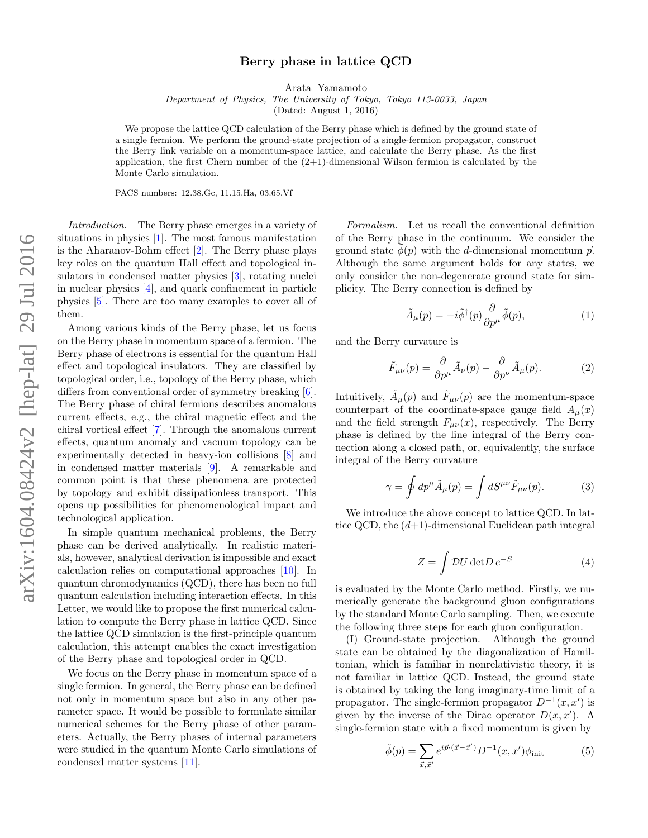## Berry phase in lattice QCD

Arata Yamamoto

Department of Physics, The University of Tokyo, Tokyo 113-0033, Japan

(Dated: August 1, 2016)

We propose the lattice QCD calculation of the Berry phase which is defined by the ground state of a single fermion. We perform the ground-state projection of a single-fermion propagator, construct the Berry link variable on a momentum-space lattice, and calculate the Berry phase. As the first application, the first Chern number of the  $(2+1)$ -dimensional Wilson fermion is calculated by the Monte Carlo simulation.

PACS numbers: 12.38.Gc, 11.15.Ha, 03.65.Vf

Introduction. The Berry phase emerges in a variety of situations in physics [\[1\]](#page-3-0). The most famous manifestation is the Aharanov-Bohm effect [\[2\]](#page-3-1). The Berry phase plays key roles on the quantum Hall effect and topological insulators in condensed matter physics [\[3\]](#page-3-2), rotating nuclei in nuclear physics [\[4\]](#page-3-3), and quark confinement in particle physics [\[5\]](#page-3-4). There are too many examples to cover all of them.

Among various kinds of the Berry phase, let us focus on the Berry phase in momentum space of a fermion. The Berry phase of electrons is essential for the quantum Hall effect and topological insulators. They are classified by topological order, i.e., topology of the Berry phase, which differs from conventional order of symmetry breaking  $[6]$ . The Berry phase of chiral fermions describes anomalous current effects, e.g., the chiral magnetic effect and the chiral vortical effect [\[7\]](#page-3-6). Through the anomalous current effects, quantum anomaly and vacuum topology can be experimentally detected in heavy-ion collisions [\[8\]](#page-3-7) and in condensed matter materials [\[9\]](#page-3-8). A remarkable and common point is that these phenomena are protected by topology and exhibit dissipationless transport. This opens up possibilities for phenomenological impact and technological application.

In simple quantum mechanical problems, the Berry phase can be derived analytically. In realistic materials, however, analytical derivation is impossible and exact calculation relies on computational approaches [\[10\]](#page-3-9). In quantum chromodynamics (QCD), there has been no full quantum calculation including interaction effects. In this Letter, we would like to propose the first numerical calculation to compute the Berry phase in lattice QCD. Since the lattice QCD simulation is the first-principle quantum calculation, this attempt enables the exact investigation of the Berry phase and topological order in QCD.

We focus on the Berry phase in momentum space of a single fermion. In general, the Berry phase can be defined not only in momentum space but also in any other parameter space. It would be possible to formulate similar numerical schemes for the Berry phase of other parameters. Actually, the Berry phases of internal parameters were studied in the quantum Monte Carlo simulations of condensed matter systems [\[11\]](#page-3-10).

Formalism. Let us recall the conventional definition of the Berry phase in the continuum. We consider the ground state  $\phi(p)$  with the d-dimensional momentum  $\vec{p}$ . Although the same argument holds for any states, we only consider the non-degenerate ground state for simplicity. The Berry connection is defined by

<span id="page-0-0"></span>
$$
\tilde{A}_{\mu}(p) = -i\tilde{\phi}^{\dagger}(p)\frac{\partial}{\partial p^{\mu}}\tilde{\phi}(p),\tag{1}
$$

and the Berry curvature is

$$
\tilde{F}_{\mu\nu}(p) = \frac{\partial}{\partial p^{\mu}} \tilde{A}_{\nu}(p) - \frac{\partial}{\partial p^{\nu}} \tilde{A}_{\mu}(p).
$$
 (2)

Intuitively,  $\tilde{A}_{\mu}(p)$  and  $\tilde{F}_{\mu\nu}(p)$  are the momentum-space counterpart of the coordinate-space gauge field  $A_\mu(x)$ and the field strength  $F_{\mu\nu}(x)$ , respectively. The Berry phase is defined by the line integral of the Berry connection along a closed path, or, equivalently, the surface integral of the Berry curvature

$$
\gamma = \oint dp^{\mu} \tilde{A}_{\mu}(p) = \int dS^{\mu\nu} \tilde{F}_{\mu\nu}(p). \tag{3}
$$

We introduce the above concept to lattice QCD. In lattice QCD, the  $(d+1)$ -dimensional Euclidean path integral

$$
Z = \int \mathcal{D}U \det D \, e^{-S} \tag{4}
$$

is evaluated by the Monte Carlo method. Firstly, we numerically generate the background gluon configurations by the standard Monte Carlo sampling. Then, we execute the following three steps for each gluon configuration.

(I) Ground-state projection. Although the ground state can be obtained by the diagonalization of Hamiltonian, which is familiar in nonrelativistic theory, it is not familiar in lattice QCD. Instead, the ground state is obtained by taking the long imaginary-time limit of a propagator. The single-fermion propagator  $D^{-1}(x, x')$  is given by the inverse of the Dirac operator  $D(x, x')$ . A single-fermion state with a fixed momentum is given by

<span id="page-0-1"></span>
$$
\tilde{\phi}(p) = \sum_{\vec{x}, \vec{x}'} e^{i\vec{p}\cdot(\vec{x}-\vec{x}')} D^{-1}(x, x') \phi_{\text{init}} \tag{5}
$$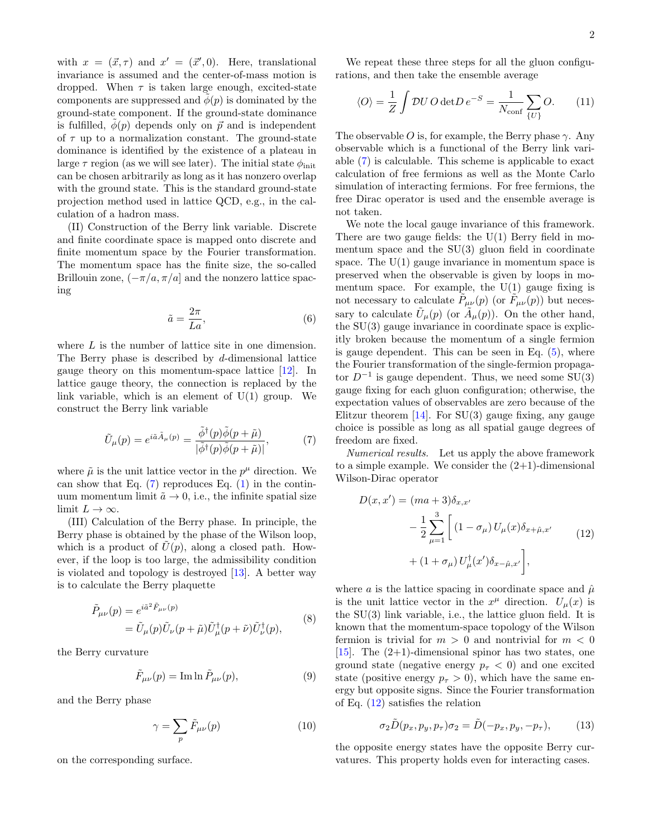with  $x = (\vec{x}, \tau)$  and  $x' = (\vec{x}', 0)$ . Here, translational invariance is assumed and the center-of-mass motion is dropped. When  $\tau$  is taken large enough, excited-state components are suppressed and  $\phi(p)$  is dominated by the ground-state component. If the ground-state dominance is fulfilled,  $\phi(p)$  depends only on  $\vec{p}$  and is independent of  $\tau$  up to a normalization constant. The ground-state dominance is identified by the existence of a plateau in large  $\tau$  region (as we will see later). The initial state  $\phi_{\text{init}}$ can be chosen arbitrarily as long as it has nonzero overlap with the ground state. This is the standard ground-state projection method used in lattice QCD, e.g., in the calculation of a hadron mass.

(II) Construction of the Berry link variable. Discrete and finite coordinate space is mapped onto discrete and finite momentum space by the Fourier transformation. The momentum space has the finite size, the so-called Brillouin zone,  $(-\pi/a, \pi/a]$  and the nonzero lattice spacing

<span id="page-1-0"></span>
$$
\tilde{a} = \frac{2\pi}{La},\tag{6}
$$

where L is the number of lattice site in one dimension. The Berry phase is described by d-dimensional lattice gauge theory on this momentum-space lattice [\[12\]](#page-3-11). In lattice gauge theory, the connection is replaced by the link variable, which is an element of  $U(1)$  group. We construct the Berry link variable

$$
\tilde{U}_{\mu}(p) = e^{i\tilde{a}\tilde{A}_{\mu}(p)} = \frac{\tilde{\phi}^{\dagger}(p)\tilde{\phi}(p+\tilde{\mu})}{|\tilde{\phi}^{\dagger}(p)\tilde{\phi}(p+\tilde{\mu})|},\tag{7}
$$

where  $\tilde{\mu}$  is the unit lattice vector in the  $p^{\mu}$  direction. We can show that Eq.  $(7)$  reproduces Eq.  $(1)$  in the continuum momentum limit  $\tilde{a} \to 0$ , i.e., the infinite spatial size limit  $L \to \infty$ .

(III) Calculation of the Berry phase. In principle, the Berry phase is obtained by the phase of the Wilson loop, which is a product of  $\hat{U}(p)$ , along a closed path. However, if the loop is too large, the admissibility condition is violated and topology is destroyed [\[13\]](#page-3-12). A better way is to calculate the Berry plaquette

$$
\tilde{P}_{\mu\nu}(p) = e^{i\tilde{a}^2 \tilde{F}_{\mu\nu}(p)} \n= \tilde{U}_{\mu}(p)\tilde{U}_{\nu}(p+\tilde{\mu})\tilde{U}_{\mu}^{\dagger}(p+\tilde{\nu})\tilde{U}_{\nu}^{\dagger}(p),
$$
\n(8)

the Berry curvature

$$
\tilde{F}_{\mu\nu}(p) = \operatorname{Im} \ln \tilde{P}_{\mu\nu}(p),\tag{9}
$$

and the Berry phase

$$
\gamma = \sum_{p} \tilde{F}_{\mu\nu}(p) \tag{10}
$$

on the corresponding surface.

We repeat these three steps for all the gluon configurations, and then take the ensemble average

$$
\langle O \rangle = \frac{1}{Z} \int \mathcal{D}U O \det D e^{-S} = \frac{1}{N_{\text{conf}}} \sum_{\{U\}} O. \qquad (11)
$$

The observable O is, for example, the Berry phase  $\gamma$ . Any observable which is a functional of the Berry link variable [\(7\)](#page-1-0) is calculable. This scheme is applicable to exact calculation of free fermions as well as the Monte Carlo simulation of interacting fermions. For free fermions, the free Dirac operator is used and the ensemble average is not taken.

We note the local gauge invariance of this framework. There are two gauge fields: the  $U(1)$  Berry field in momentum space and the  $SU(3)$  gluon field in coordinate space. The  $U(1)$  gauge invariance in momentum space is preserved when the observable is given by loops in momentum space. For example, the  $U(1)$  gauge fixing is not necessary to calculate  $\tilde{P}_{\mu\nu}(p)$  (or  $\tilde{F}_{\mu\nu}(p)$ ) but necessary to calculate  $\tilde{U}_{\mu}(p)$  (or  $\tilde{A}_{\mu}(p)$ ). On the other hand, the  $SU(3)$  gauge invariance in coordinate space is explicitly broken because the momentum of a single fermion is gauge dependent. This can be seen in Eq.  $(5)$ , where the Fourier transformation of the single-fermion propagator  $D^{-1}$  is gauge dependent. Thus, we need some SU(3) gauge fixing for each gluon configuration; otherwise, the expectation values of observables are zero because of the Elitzur theorem  $[14]$ . For SU(3) gauge fixing, any gauge choice is possible as long as all spatial gauge degrees of freedom are fixed.

Numerical results. Let us apply the above framework to a simple example. We consider the  $(2+1)$ -dimensional Wilson-Dirac operator

<span id="page-1-1"></span>
$$
D(x, x') = (ma + 3)\delta_{x, x'}
$$
  
-  $\frac{1}{2} \sum_{\mu=1}^{3} \left[ (1 - \sigma_{\mu}) U_{\mu}(x) \delta_{x + \hat{\mu}, x'} + (1 + \sigma_{\mu}) U_{\mu}^{\dagger}(x') \delta_{x - \hat{\mu}, x'} \right],$  (12)

where a is the lattice spacing in coordinate space and  $\hat{\mu}$ is the unit lattice vector in the  $x^{\mu}$  direction.  $U_{\mu}(x)$  is the SU(3) link variable, i.e., the lattice gluon field. It is known that the momentum-space topology of the Wilson fermion is trivial for  $m > 0$  and nontrivial for  $m < 0$  $[15]$ . The  $(2+1)$ -dimensional spinor has two states, one ground state (negative energy  $p_{\tau} < 0$ ) and one excited state (positive energy  $p_{\tau} > 0$ ), which have the same energy but opposite signs. Since the Fourier transformation of Eq. [\(12\)](#page-1-1) satisfies the relation

$$
\sigma_2 \tilde{D}(p_x, p_y, p_\tau) \sigma_2 = \tilde{D}(-p_x, p_y, -p_\tau), \quad (13)
$$

the opposite energy states have the opposite Berry curvatures. This property holds even for interacting cases.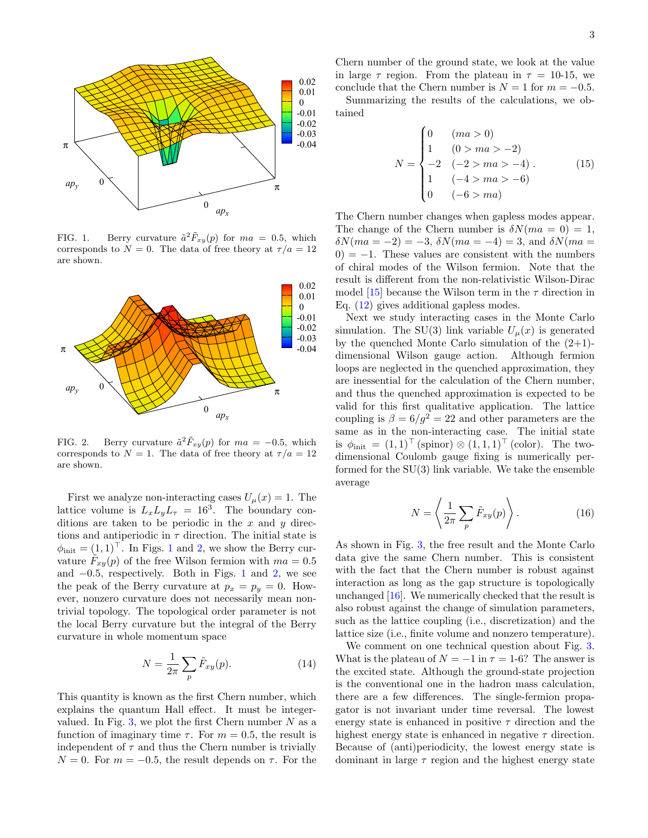

<span id="page-2-0"></span>FIG. 1. Berry curvature  $\tilde{a}^2 \tilde{F}_{xy}(p)$  for  $ma = 0.5$ , which corresponds to  $N = 0$ . The data of free theory at  $\tau/a = 12$ are shown.



<span id="page-2-1"></span>FIG. 2. Berry curvature  $\tilde{a}^2 \tilde{F}_{xy}(p)$  for  $ma = -0.5$ , which corresponds to  $N = 1$ . The data of free theory at  $\tau/a = 12$ are shown.

First we analyze non-interacting cases  $U_{\mu}(x) = 1$ . The lattice volume is  $L_x L_y L_\tau = 16^3$ . The boundary conditions are taken to be periodic in the  $x$  and  $y$  directions and antiperiodic in  $\tau$  direction. The initial state is  $\phi_{\text{init}} = (1, 1)^\top$  $\phi_{\text{init}} = (1, 1)^\top$  $\phi_{\text{init}} = (1, 1)^\top$ . In Figs. 1 and [2,](#page-2-1) we show the Berry curvature  $\tilde{F}_{xy}(p)$  of the free Wilson fermion with  $ma = 0.5$ and  $-0.5$ , respectively. Both in Figs. [1](#page-2-0) and [2,](#page-2-1) we see the peak of the Berry curvature at  $p_x = p_y = 0$ . However, nonzero curvature does not necessarily mean nontrivial topology. The topological order parameter is not the local Berry curvature but the integral of the Berry curvature in whole momentum space

$$
N = \frac{1}{2\pi} \sum_{p} \tilde{F}_{xy}(p). \tag{14}
$$

This quantity is known as the first Chern number, which explains the quantum Hall effect. It must be integer-valued. In Fig. [3,](#page-3-15) we plot the first Chern number  $N$  as a function of imaginary time  $\tau$ . For  $m = 0.5$ , the result is independent of  $\tau$  and thus the Chern number is trivially  $N = 0$ . For  $m = -0.5$ , the result depends on  $\tau$ . For the

Chern number of the ground state, we look at the value in large  $\tau$  region. From the plateau in  $\tau = 10{\text -}15$ , we conclude that the Chern number is  $N = 1$  for  $m = -0.5$ .

Summarizing the results of the calculations, we obtained

$$
N = \begin{cases} 0 & (ma > 0) \\ 1 & (0 > ma > -2) \\ -2 & (-2 > ma > -4) \\ 1 & (-4 > ma > -6) \\ 0 & (-6 > ma) \end{cases}
$$
(15)

The Chern number changes when gapless modes appear. The change of the Chern number is  $\delta N(ma = 0) = 1$ ,  $\delta N(ma = -2) = -3$ ,  $\delta N(ma = -4) = 3$ , and  $\delta N(ma = -1)$  $0$ ) = −1. These values are consistent with the numbers of chiral modes of the Wilson fermion. Note that the result is different from the non-relativistic Wilson-Dirac model [\[15\]](#page-3-14) because the Wilson term in the  $\tau$  direction in Eq. [\(12\)](#page-1-1) gives additional gapless modes.

Next we study interacting cases in the Monte Carlo simulation. The SU(3) link variable  $U_{\mu}(x)$  is generated by the quenched Monte Carlo simulation of the  $(2+1)$ dimensional Wilson gauge action. Although fermion loops are neglected in the quenched approximation, they are inessential for the calculation of the Chern number, and thus the quenched approximation is expected to be valid for this first qualitative application. The lattice coupling is  $\beta = 6/g^2 = 22$  and other parameters are the same as in the non-interacting case. The initial state is  $\phi_{\text{init}} = (1, 1)^\top \text{ (spinor)} \otimes (1, 1, 1)^\top \text{ (color)}.$  The twodimensional Coulomb gauge fixing is numerically performed for the SU(3) link variable. We take the ensemble average

$$
N = \left\langle \frac{1}{2\pi} \sum_{p} \tilde{F}_{xy}(p) \right\rangle. \tag{16}
$$

As shown in Fig. [3,](#page-3-15) the free result and the Monte Carlo data give the same Chern number. This is consistent with the fact that the Chern number is robust against interaction as long as the gap structure is topologically unchanged [\[16\]](#page-3-16). We numerically checked that the result is also robust against the change of simulation parameters, such as the lattice coupling (i.e., discretization) and the lattice size (i.e., finite volume and nonzero temperature).

We comment on one technical question about Fig. [3.](#page-3-15) What is the plateau of  $N = -1$  in  $\tau = 1$ -6? The answer is the excited state. Although the ground-state projection is the conventional one in the hadron mass calculation, there are a few differences. The single-fermion propagator is not invariant under time reversal. The lowest energy state is enhanced in positive  $\tau$  direction and the highest energy state is enhanced in negative  $\tau$  direction. Because of (anti)periodicity, the lowest energy state is dominant in large  $\tau$  region and the highest energy state